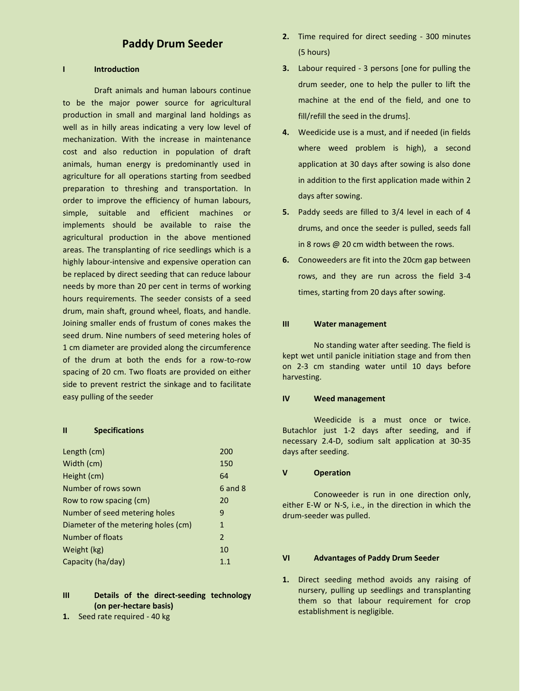# **Paddy Drum Seeder**

## **I Introduction**

Draft animals and human labours continue to be the major power source for agricultural production in small and marginal land holdings as well as in hilly areas indicating a very low level of mechanization. With the increase in maintenance cost and also reduction in population of draft animals, human energy is predominantly used in agriculture for all operations starting from seedbed preparation to threshing and transportation. In order to improve the efficiency of human labours, simple, suitable and efficient machines or implements should be available to raise the agricultural production in the above mentioned areas. The transplanting of rice seedlings which is a highly labour-intensive and expensive operation can be replaced by direct seeding that can reduce labour needs by more than 20 per cent in terms of working hours requirements. The seeder consists of a seed drum, main shaft, ground wheel, floats, and handle. Joining smaller ends of frustum of cones makes the seed drum. Nine numbers of seed metering holes of 1 cm diameter are provided along the circumference of the drum at both the ends for a row-to-row spacing of 20 cm. Two floats are provided on either side to prevent restrict the sinkage and to facilitate easy pulling of the seeder

#### **II Specifications**

| Length (cm)                         | 200            |
|-------------------------------------|----------------|
| Width (cm)                          | 150            |
| Height (cm)                         | 64             |
| Number of rows sown                 | 6 and 8        |
| Row to row spacing (cm)             | 20             |
| Number of seed metering holes       | 9              |
| Diameter of the metering holes (cm) | 1              |
| Number of floats                    | $\overline{2}$ |
| Weight (kg)                         | 10             |
| Capacity (ha/day)                   | 11             |
|                                     |                |

# **III Details of the direct-seeding technology (on per-hectare basis)**

**1.** Seed rate required - 40 kg

- **2.** Time required for direct seeding 300 minutes (5 hours)
- **3.** Labour required 3 persons [one for pulling the drum seeder, one to help the puller to lift the machine at the end of the field, and one to fill/refill the seed in the drums].
- **4.** Weedicide use is a must, and if needed (in fields where weed problem is high), a second application at 30 days after sowing is also done in addition to the first application made within 2 days after sowing.
- **5.** Paddy seeds are filled to 3/4 level in each of 4 drums, and once the seeder is pulled, seeds fall in 8 rows @ 20 cm width between the rows.
- **6.** Conoweeders are fit into the 20cm gap between rows, and they are run across the field 3-4 times, starting from 20 days after sowing.

#### **III Water management**

No standing water after seeding. The field is kept wet until panicle initiation stage and from then on 2-3 cm standing water until 10 days before harvesting.

#### **IV Weed management**

Weedicide is a must once or twice. Butachlor just 1-2 days after seeding, and if necessary 2.4-D, sodium salt application at 30-35 days after seeding.

## **V Operation**

Conoweeder is run in one direction only, either E-W or N-S, i.e., in the direction in which the drum-seeder was pulled.

#### **VI Advantages of Paddy Drum Seeder**

**1.** Direct seeding method avoids any raising of nursery, pulling up seedlings and transplanting them so that labour requirement for crop establishment is negligible.